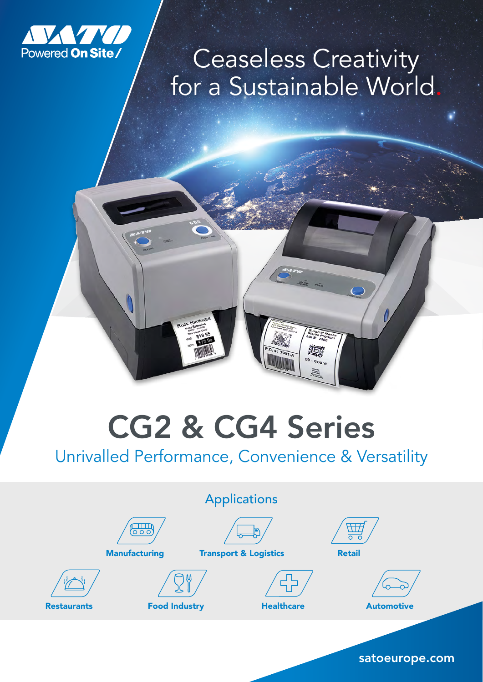

## Ceaseless Creativity for a Sustainable World.

## CG2 & CG4 Series

## Unrivalled Performance, Convenience & Versatility

| <b>Applications</b> |                                               |                      |                                  |                                            |  |  |  |
|---------------------|-----------------------------------------------|----------------------|----------------------------------|--------------------------------------------|--|--|--|
|                     | $\lim_{\delta \to 0}$<br><b>Manufacturing</b> |                      | <b>Transport &amp; Logistics</b> | $\overline{H}$<br>$O$ $O$<br><b>Retail</b> |  |  |  |
| <b>Restaurants</b>  |                                               | <b>Food Industry</b> |                                  | <b>Automotive</b>                          |  |  |  |
|                     |                                               |                      |                                  |                                            |  |  |  |

satoeurope.com